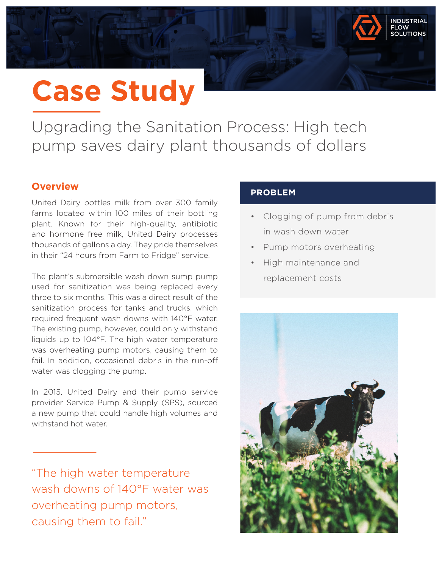# **Case Study**

Upgrading the Sanitation Process: High tech pump saves dairy plant thousands of dollars

## **Overview**

United Dairy bottles milk from over 300 family farms located within 100 miles of their bottling plant. Known for their high-quality, antibiotic and hormone free milk, United Dairy processes thousands of gallons a day. They pride themselves in their "24 hours from Farm to Fridge" service.

The plant's submersible wash down sump pump used for sanitization was being replaced every three to six months. This was a direct result of the sanitization process for tanks and trucks, which required frequent wash downs with 140°F water. The existing pump, however, could only withstand liquids up to 104°F. The high water temperature was overheating pump motors, causing them to fail. In addition, occasional debris in the run-off water was clogging the pump.

In 2015, United Dairy and their pump service provider Service Pump & Supply (SPS), sourced a new pump that could handle high volumes and withstand hot water.

"The high water temperature wash downs of 140°F water was overheating pump motors, causing them to fail."

### **PROBLEM**

• Clogging of pump from debris in wash down water

**IDIISTPIAL OLUTIONS** 

- Pump motors overheating
- High maintenance and replacement costs